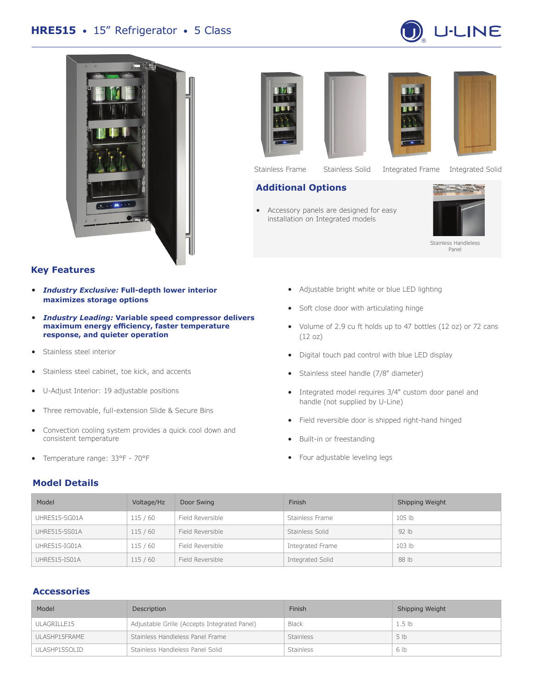# **HRE515** • 15" Refrigerator • 5 Class













Stainless Frame Stainless Solid Integrated Frame Integrated Solid

# **Additional Options**

• Accessory panels are designed for easy installation on Integrated models



Stainless Handleless Panel

#### **Key Features**

- *Industry Exclusive:* **Full-depth lower interior maximizes storage options**
- *Industry Leading:* **Variable speed compressor delivers maximum energy efficiency, faster temperature response, and quieter operation**
- Stainless steel interior
- Stainless steel cabinet, toe kick, and accents
- U-Adjust Interior: 19 adjustable positions
- Three removable, full-extension Slide & Secure Bins
- Convection cooling system provides a quick cool down and consistent temperature
- Temperature range: 33°F 70°F

# **Model Details**

- Adjustable bright white or blue LED lighting
- Soft close door with articulating hinge
- Volume of 2.9 cu ft holds up to 47 bottles (12 oz) or 72 cans (12 oz)
- Digital touch pad control with blue LED display
- Stainless steel handle (7/8" diameter)
- Integrated model requires 3/4" custom door panel and handle (not supplied by U-Line)
- Field reversible door is shipped right-hand hinged
- Built-in or freestanding
- Four adjustable leveling legs

| Model         | Voltage/Hz | Door Swing       | Finish           | Shipping Weight   |  |
|---------------|------------|------------------|------------------|-------------------|--|
| UHRE515-SG01A | 115/60     | Field Reversible | Stainless Frame  | 105 <sub>h</sub>  |  |
| UHRE515-SS01A | 115/60     | Field Reversible | Stainless Solid  | 92 <sub>1b</sub>  |  |
| UHRE515-IG01A | 115/60     | Field Reversible | Integrated Frame | 103 <sub>lb</sub> |  |
| UHRE515-IS01A | 115/60     | Field Reversible | Integrated Solid | 88 lb             |  |

# **Accessories**

| Model         | Description                                  | Finish           | Shipping Weight   |
|---------------|----------------------------------------------|------------------|-------------------|
| ULAGRILLE15   | Adjustable Grille (Accepts Integrated Panel) | <b>Black</b>     | 1.5 <sub>1b</sub> |
| ULASHP15FRAME | Stainless Handleless Panel Frame             | <b>Stainless</b> | 5 <sub>1b</sub>   |
| ULASHP15SOLID | Stainless Handleless Panel Solid             | <b>Stainless</b> | 6 lb              |